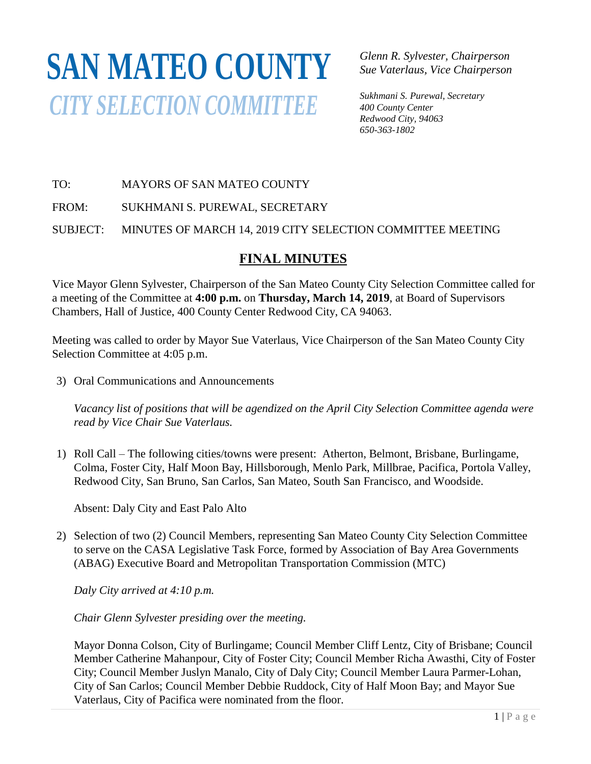# **SAN MATEO COUNTY** *CITY SELECTION COMMITTEE*

*Glenn R. Sylvester, Chairperson Sue Vaterlaus, Vice Chairperson*

*Sukhmani S. Purewal, Secretary 400 County Center Redwood City, 94063 650-363-1802*

# TO: MAYORS OF SAN MATEO COUNTY

FROM: SUKHMANI S. PUREWAL, SECRETARY

SUBJECT: MINUTES OF MARCH 14, 2019 CITY SELECTION COMMITTEE MEETING SUBJECT. MINUTED OF MARX

# **FINAL MINUTES**

*FINAL MINOTES*<br>Vice Mayor Glenn Sylvester, Chairperson of the San Mateo County City Selection Committee called for a meeting of the Committee at 4:00 p.m. on Thursday, March 14, 2019, at Board of Supervisors Chambers, Hall of Justice, 400 County Center Redwood City, CA 94063. *650-363-4124400 County Center*

Meeting was called to order by Mayor Sue Vaterlaus, Vice Chairperson of the San Mateo County City Selection Committee at 4:05 p.m.

3) Oral Communications and Announcements

*Vacancy list of positions that will be agendized on the April City Selection Committee agenda were read by Vice Chair Sue Vaterlaus.*

1) Roll Call – The following cities/towns were present: Atherton, Belmont, Brisbane, Burlingame, Colma, Foster City, Half Moon Bay, Hillsborough, Menlo Park, Millbrae, Pacifica, Portola Valley, Redwood City, San Bruno, San Carlos, San Mateo, South San Francisco, and Woodside.

Absent: Daly City and East Palo Alto

2) Selection of two (2) Council Members, representing San Mateo County City Selection Committee to serve on the CASA Legislative Task Force, formed by Association of Bay Area Governments (ABAG) Executive Board and Metropolitan Transportation Commission (MTC)

*Daly City arrived at 4:10 p.m.*

*Chair Glenn Sylvester presiding over the meeting.*

Mayor Donna Colson, City of Burlingame; Council Member Cliff Lentz, City of Brisbane; Council Member Catherine Mahanpour, City of Foster City; Council Member Richa Awasthi, City of Foster City; Council Member Juslyn Manalo, City of Daly City; Council Member Laura Parmer-Lohan, City of San Carlos; Council Member Debbie Ruddock, City of Half Moon Bay; and Mayor Sue Vaterlaus, City of Pacifica were nominated from the floor.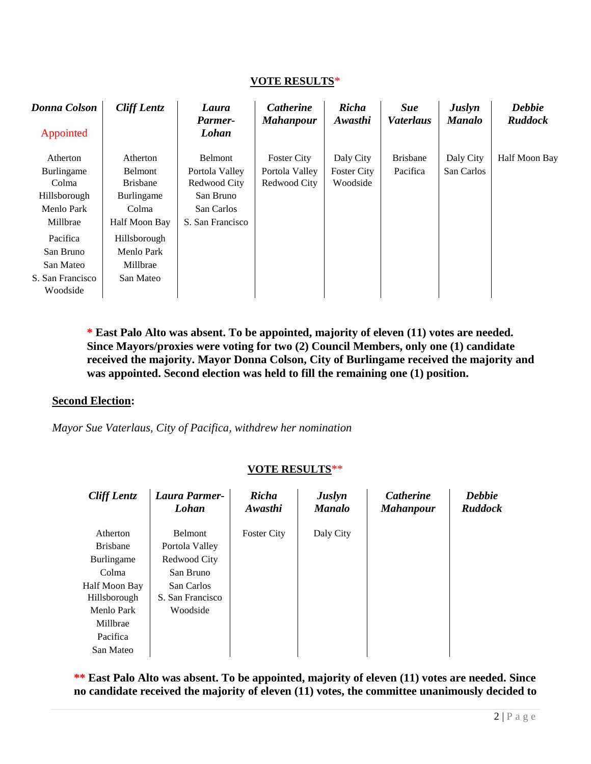#### **VOTE RESULTS**\*

| <b>Donna Colson</b> | <b>Cliff Lentz</b>         | Laura<br>Parmer-               | <b>Catherine</b><br><b>Mahanpour</b> | <b>Richa</b><br>Awasthi        | <b>Sue</b><br><i>Vaterlaus</i> | <b>Juslyn</b><br><b>Manalo</b> | <b>Debbie</b><br><b>Ruddock</b> |
|---------------------|----------------------------|--------------------------------|--------------------------------------|--------------------------------|--------------------------------|--------------------------------|---------------------------------|
| Appointed           |                            | Lohan                          |                                      |                                |                                |                                |                                 |
| Atherton            | Atherton                   | Belmont                        | <b>Foster City</b>                   | Daly City                      | <b>Brisbane</b>                | Daly City                      | Half Moon Bay                   |
| Burlingame<br>Colma | Belmont<br><b>Brisbane</b> | Portola Valley<br>Redwood City | Portola Valley<br>Redwood City       | <b>Foster City</b><br>Woodside | Pacifica                       | San Carlos                     |                                 |
| Hillsborough        | Burlingame                 | San Bruno                      |                                      |                                |                                |                                |                                 |
| Menlo Park          | Colma                      | San Carlos                     |                                      |                                |                                |                                |                                 |
| Millbrae            | Half Moon Bay              | S. San Francisco               |                                      |                                |                                |                                |                                 |
| Pacifica            | Hillsborough               |                                |                                      |                                |                                |                                |                                 |
| San Bruno           | Menlo Park                 |                                |                                      |                                |                                |                                |                                 |
| San Mateo           | Millbrae                   |                                |                                      |                                |                                |                                |                                 |
| S. San Francisco    | San Mateo                  |                                |                                      |                                |                                |                                |                                 |
| Woodside            |                            |                                |                                      |                                |                                |                                |                                 |

**\* East Palo Alto was absent. To be appointed, majority of eleven (11) votes are needed. Since Mayors/proxies were voting for two (2) Council Members, only one (1) candidate received the majority. Mayor Donna Colson, City of Burlingame received the majority and was appointed. Second election was held to fill the remaining one (1) position.**

#### **Second Election:**

*Mayor Sue Vaterlaus, City of Pacifica, withdrew her nomination*

## **VOTE RESULTS**\*\*

| <b>Cliff Lentz</b>                                                           | Laura Parmer-<br>Lohan                                  | Richa<br>Awasthi   | <b>Juslyn</b><br><b>Manalo</b> | <b>Catherine</b><br><b>Mahanpour</b> | <b>Debbie</b><br><b>Ruddock</b> |
|------------------------------------------------------------------------------|---------------------------------------------------------|--------------------|--------------------------------|--------------------------------------|---------------------------------|
| Atherton<br><b>Brisbane</b><br>Burlingame                                    | Belmont<br>Portola Valley<br>Redwood City               | <b>Foster City</b> | Daly City                      |                                      |                                 |
| Colma<br>Half Moon Bay<br>Hillsborough<br>Menlo Park<br>Millbrae<br>Pacifica | San Bruno<br>San Carlos<br>S. San Francisco<br>Woodside |                    |                                |                                      |                                 |
| San Mateo                                                                    |                                                         |                    |                                |                                      |                                 |

**\*\* East Palo Alto was absent. To be appointed, majority of eleven (11) votes are needed. Since no candidate received the majority of eleven (11) votes, the committee unanimously decided to**